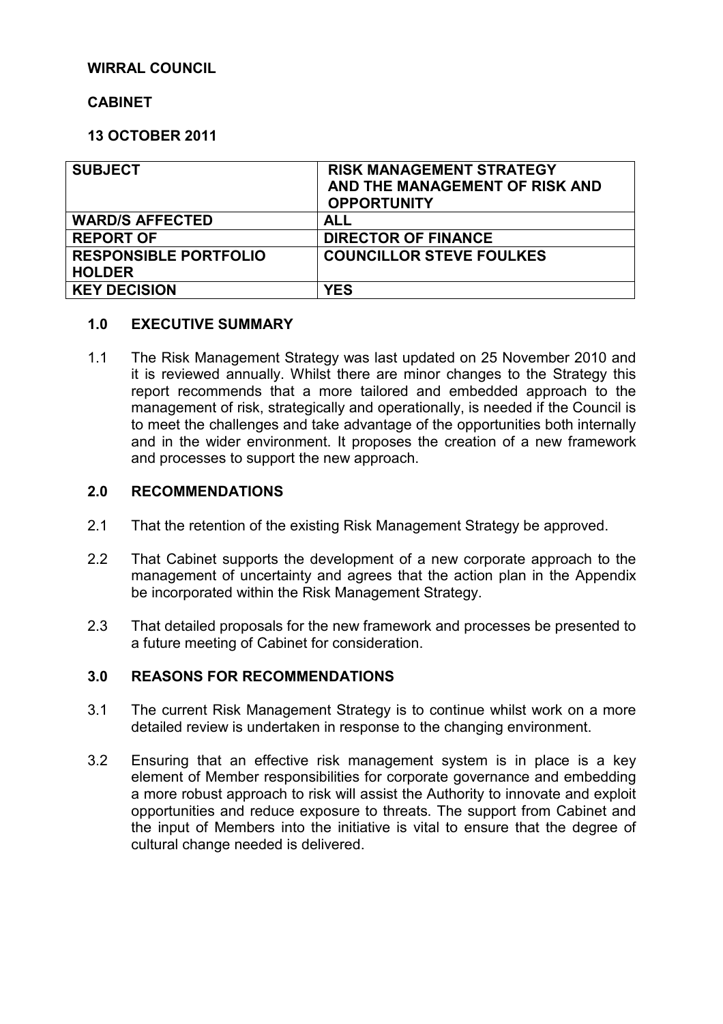### **WIRRAL COUNCIL**

## **CABINET**

## **13 OCTOBER 2011**

| <b>SUBJECT</b>               | <b>RISK MANAGEMENT STRATEGY</b><br>AND THE MANAGEMENT OF RISK AND<br><b>OPPORTUNITY</b> |
|------------------------------|-----------------------------------------------------------------------------------------|
| <b>WARD/S AFFECTED</b>       | ALL                                                                                     |
| <b>REPORT OF</b>             | <b>DIRECTOR OF FINANCE</b>                                                              |
| <b>RESPONSIBLE PORTFOLIO</b> | <b>COUNCILLOR STEVE FOULKES</b>                                                         |
| <b>HOLDER</b>                |                                                                                         |
| <b>KEY DECISION</b>          | YES                                                                                     |

#### **1.0 EXECUTIVE SUMMARY**

1.1 The Risk Management Strategy was last updated on 25 November 2010 and it is reviewed annually. Whilst there are minor changes to the Strategy this report recommends that a more tailored and embedded approach to the management of risk, strategically and operationally, is needed if the Council is to meet the challenges and take advantage of the opportunities both internally and in the wider environment. It proposes the creation of a new framework and processes to support the new approach.

#### **2.0 RECOMMENDATIONS**

- 2.1 That the retention of the existing Risk Management Strategy be approved.
- 2.2 That Cabinet supports the development of a new corporate approach to the management of uncertainty and agrees that the action plan in the Appendix be incorporated within the Risk Management Strategy.
- 2.3 That detailed proposals for the new framework and processes be presented to a future meeting of Cabinet for consideration.

#### **3.0 REASONS FOR RECOMMENDATIONS**

- 3.1 The current Risk Management Strategy is to continue whilst work on a more detailed review is undertaken in response to the changing environment.
- 3.2 Ensuring that an effective risk management system is in place is a key element of Member responsibilities for corporate governance and embedding a more robust approach to risk will assist the Authority to innovate and exploit opportunities and reduce exposure to threats. The support from Cabinet and the input of Members into the initiative is vital to ensure that the degree of cultural change needed is delivered.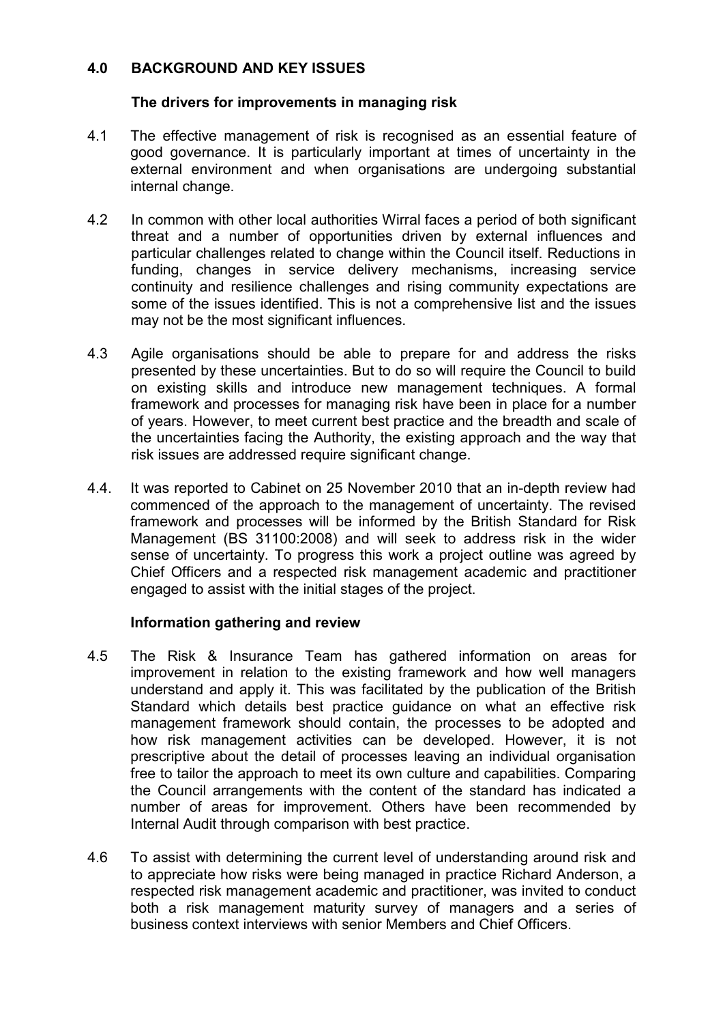## **4.0 BACKGROUND AND KEY ISSUES**

## **The drivers for improvements in managing risk**

- 4.1 The effective management of risk is recognised as an essential feature of good governance. It is particularly important at times of uncertainty in the external environment and when organisations are undergoing substantial internal change.
- 4.2 In common with other local authorities Wirral faces a period of both significant threat and a number of opportunities driven by external influences and particular challenges related to change within the Council itself. Reductions in funding, changes in service delivery mechanisms, increasing service continuity and resilience challenges and rising community expectations are some of the issues identified. This is not a comprehensive list and the issues may not be the most significant influences.
- 4.3 Agile organisations should be able to prepare for and address the risks presented by these uncertainties. But to do so will require the Council to build on existing skills and introduce new management techniques. A formal framework and processes for managing risk have been in place for a number of years. However, to meet current best practice and the breadth and scale of the uncertainties facing the Authority, the existing approach and the way that risk issues are addressed require significant change.
- 4.4. It was reported to Cabinet on 25 November 2010 that an in-depth review had commenced of the approach to the management of uncertainty. The revised framework and processes will be informed by the British Standard for Risk Management (BS 31100:2008) and will seek to address risk in the wider sense of uncertainty. To progress this work a project outline was agreed by Chief Officers and a respected risk management academic and practitioner engaged to assist with the initial stages of the project.

#### **Information gathering and review**

- 4.5 The Risk & Insurance Team has gathered information on areas for improvement in relation to the existing framework and how well managers understand and apply it. This was facilitated by the publication of the British Standard which details best practice guidance on what an effective risk management framework should contain, the processes to be adopted and how risk management activities can be developed. However, it is not prescriptive about the detail of processes leaving an individual organisation free to tailor the approach to meet its own culture and capabilities. Comparing the Council arrangements with the content of the standard has indicated a number of areas for improvement. Others have been recommended by Internal Audit through comparison with best practice.
- 4.6 To assist with determining the current level of understanding around risk and to appreciate how risks were being managed in practice Richard Anderson, a respected risk management academic and practitioner, was invited to conduct both a risk management maturity survey of managers and a series of business context interviews with senior Members and Chief Officers.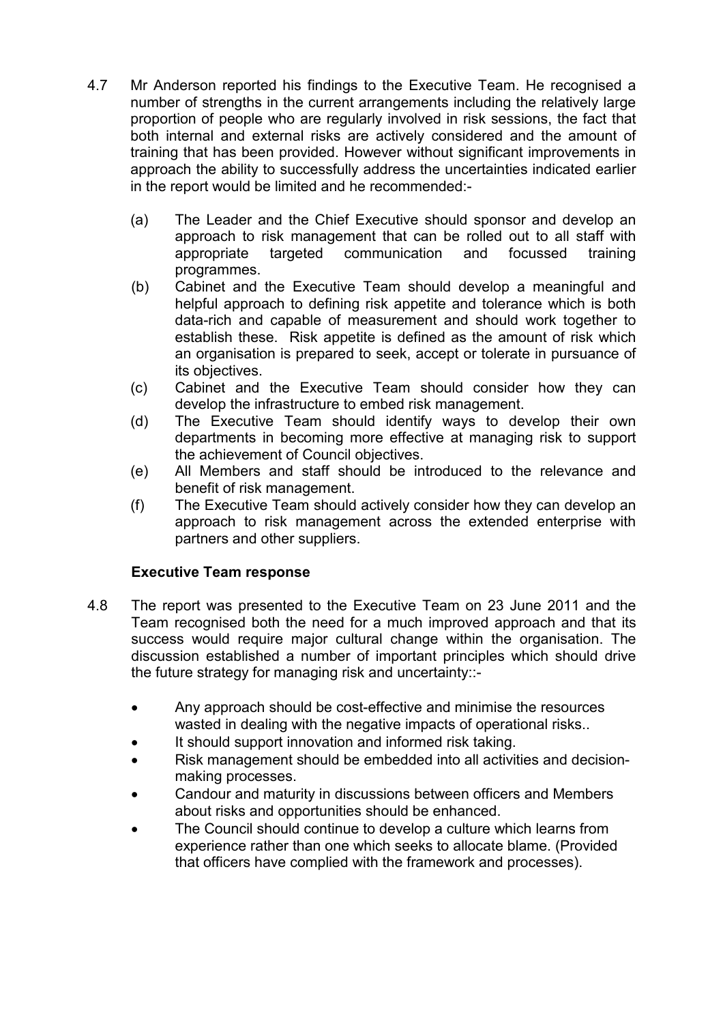- 4.7 Mr Anderson reported his findings to the Executive Team. He recognised a number of strengths in the current arrangements including the relatively large proportion of people who are regularly involved in risk sessions, the fact that both internal and external risks are actively considered and the amount of training that has been provided. However without significant improvements in approach the ability to successfully address the uncertainties indicated earlier in the report would be limited and he recommended:-
	- (a) The Leader and the Chief Executive should sponsor and develop an approach to risk management that can be rolled out to all staff with appropriate targeted communication and focussed training programmes.
	- (b) Cabinet and the Executive Team should develop a meaningful and helpful approach to defining risk appetite and tolerance which is both data-rich and capable of measurement and should work together to establish these. Risk appetite is defined as the amount of risk which an organisation is prepared to seek, accept or tolerate in pursuance of its objectives.
	- (c) Cabinet and the Executive Team should consider how they can develop the infrastructure to embed risk management.
	- (d) The Executive Team should identify ways to develop their own departments in becoming more effective at managing risk to support the achievement of Council objectives.
	- (e) All Members and staff should be introduced to the relevance and benefit of risk management.
	- (f) The Executive Team should actively consider how they can develop an approach to risk management across the extended enterprise with partners and other suppliers.

# **Executive Team response**

- 4.8 The report was presented to the Executive Team on 23 June 2011 and the Team recognised both the need for a much improved approach and that its success would require major cultural change within the organisation. The discussion established a number of important principles which should drive the future strategy for managing risk and uncertainty::-
	- Any approach should be cost-effective and minimise the resources wasted in dealing with the negative impacts of operational risks..
	- It should support innovation and informed risk taking.
	- Risk management should be embedded into all activities and decisionmaking processes.
	- Candour and maturity in discussions between officers and Members about risks and opportunities should be enhanced.
	- The Council should continue to develop a culture which learns from experience rather than one which seeks to allocate blame. (Provided that officers have complied with the framework and processes).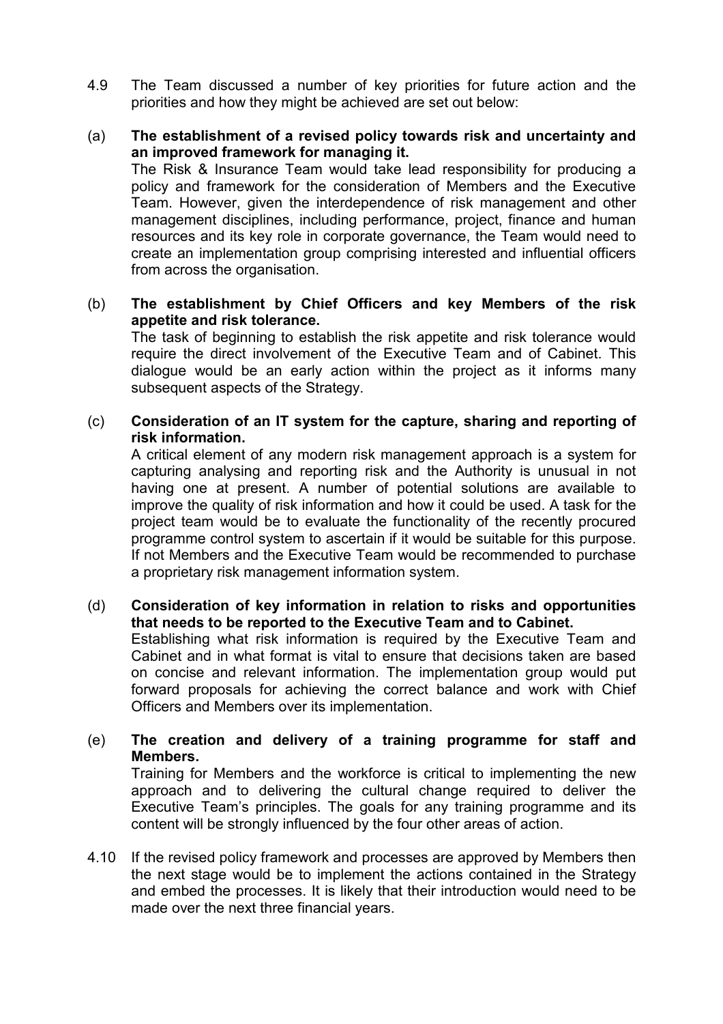- 4.9 The Team discussed a number of key priorities for future action and the priorities and how they might be achieved are set out below:
- (a) **The establishment of a revised policy towards risk and uncertainty and an improved framework for managing it.** The Risk & Insurance Team would take lead responsibility for producing a policy and framework for the consideration of Members and the Executive Team. However, given the interdependence of risk management and other management disciplines, including performance, project, finance and human resources and its key role in corporate governance, the Team would need to create an implementation group comprising interested and influential officers from across the organisation.
- (b) **The establishment by Chief Officers and key Members of the risk appetite and risk tolerance.**

The task of beginning to establish the risk appetite and risk tolerance would require the direct involvement of the Executive Team and of Cabinet. This dialogue would be an early action within the project as it informs many subsequent aspects of the Strategy.

## (c) **Consideration of an IT system for the capture, sharing and reporting of risk information.**

A critical element of any modern risk management approach is a system for capturing analysing and reporting risk and the Authority is unusual in not having one at present. A number of potential solutions are available to improve the quality of risk information and how it could be used. A task for the project team would be to evaluate the functionality of the recently procured programme control system to ascertain if it would be suitable for this purpose. If not Members and the Executive Team would be recommended to purchase a proprietary risk management information system.

#### (d) **Consideration of key information in relation to risks and opportunities that needs to be reported to the Executive Team and to Cabinet.** Establishing what risk information is required by the Executive Team and Cabinet and in what format is vital to ensure that decisions taken are based on concise and relevant information. The implementation group would put forward proposals for achieving the correct balance and work with Chief Officers and Members over its implementation.

## (e) **The creation and delivery of a training programme for staff and Members.**

Training for Members and the workforce is critical to implementing the new approach and to delivering the cultural change required to deliver the Executive Team's principles. The goals for any training programme and its content will be strongly influenced by the four other areas of action.

4.10 If the revised policy framework and processes are approved by Members then the next stage would be to implement the actions contained in the Strategy and embed the processes. It is likely that their introduction would need to be made over the next three financial years.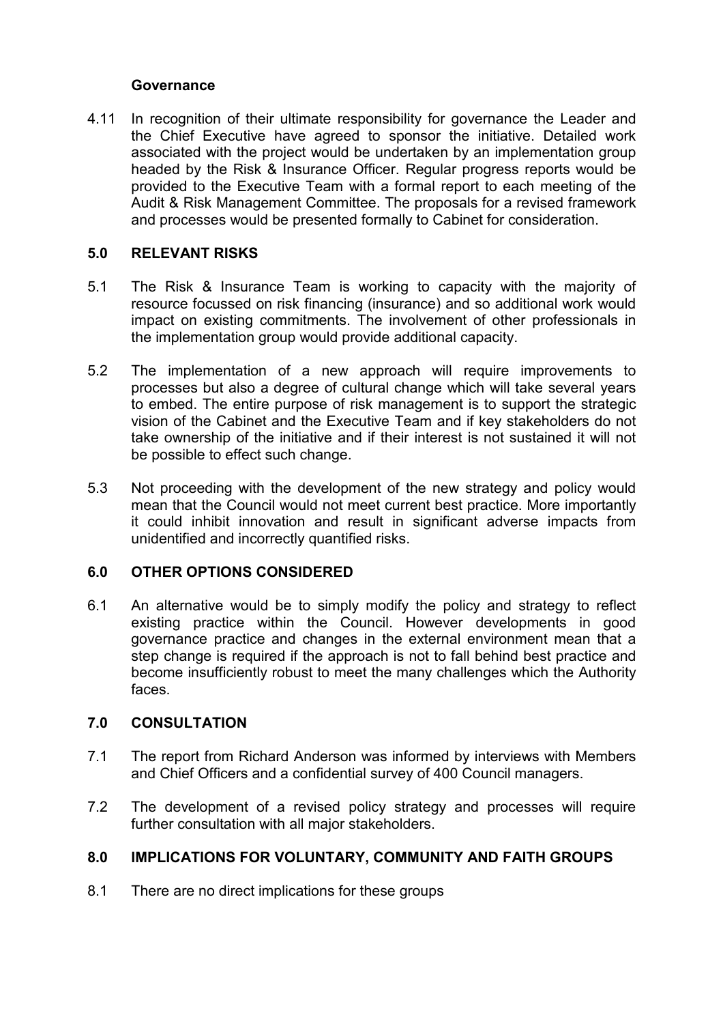#### **Governance**

4.11 In recognition of their ultimate responsibility for governance the Leader and the Chief Executive have agreed to sponsor the initiative. Detailed work associated with the project would be undertaken by an implementation group headed by the Risk & Insurance Officer. Regular progress reports would be provided to the Executive Team with a formal report to each meeting of the Audit & Risk Management Committee. The proposals for a revised framework and processes would be presented formally to Cabinet for consideration.

### **5.0 RELEVANT RISKS**

- 5.1 The Risk & Insurance Team is working to capacity with the majority of resource focussed on risk financing (insurance) and so additional work would impact on existing commitments. The involvement of other professionals in the implementation group would provide additional capacity.
- 5.2 The implementation of a new approach will require improvements to processes but also a degree of cultural change which will take several years to embed. The entire purpose of risk management is to support the strategic vision of the Cabinet and the Executive Team and if key stakeholders do not take ownership of the initiative and if their interest is not sustained it will not be possible to effect such change.
- 5.3 Not proceeding with the development of the new strategy and policy would mean that the Council would not meet current best practice. More importantly it could inhibit innovation and result in significant adverse impacts from unidentified and incorrectly quantified risks.

#### **6.0 OTHER OPTIONS CONSIDERED**

6.1 An alternative would be to simply modify the policy and strategy to reflect existing practice within the Council. However developments in good governance practice and changes in the external environment mean that a step change is required if the approach is not to fall behind best practice and become insufficiently robust to meet the many challenges which the Authority faces.

#### **7.0 CONSULTATION**

- 7.1 The report from Richard Anderson was informed by interviews with Members and Chief Officers and a confidential survey of 400 Council managers.
- 7.2 The development of a revised policy strategy and processes will require further consultation with all major stakeholders.

# **8.0 IMPLICATIONS FOR VOLUNTARY, COMMUNITY AND FAITH GROUPS**

8.1 There are no direct implications for these groups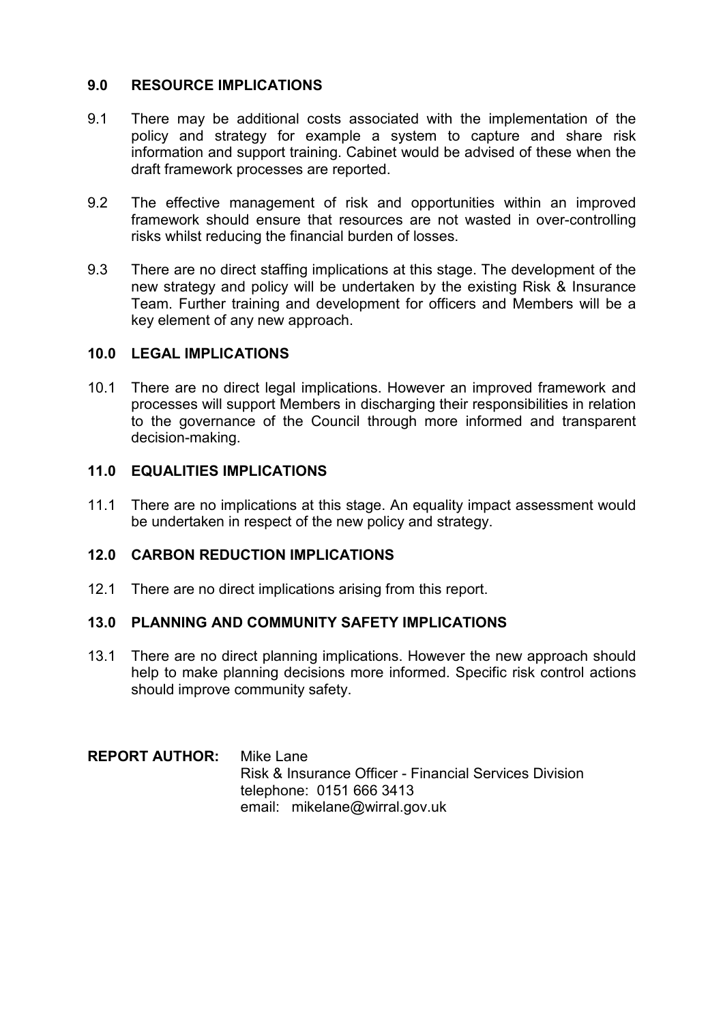### **9.0 RESOURCE IMPLICATIONS**

- 9.1 There may be additional costs associated with the implementation of the policy and strategy for example a system to capture and share risk information and support training. Cabinet would be advised of these when the draft framework processes are reported.
- 9.2 The effective management of risk and opportunities within an improved framework should ensure that resources are not wasted in over-controlling risks whilst reducing the financial burden of losses.
- 9.3 There are no direct staffing implications at this stage. The development of the new strategy and policy will be undertaken by the existing Risk & Insurance Team. Further training and development for officers and Members will be a key element of any new approach.

## **10.0 LEGAL IMPLICATIONS**

10.1 There are no direct legal implications. However an improved framework and processes will support Members in discharging their responsibilities in relation to the governance of the Council through more informed and transparent decision-making.

#### **11.0 EQUALITIES IMPLICATIONS**

11.1 There are no implications at this stage. An equality impact assessment would be undertaken in respect of the new policy and strategy.

#### **12.0 CARBON REDUCTION IMPLICATIONS**

12.1 There are no direct implications arising from this report.

#### **13.0 PLANNING AND COMMUNITY SAFETY IMPLICATIONS**

13.1 There are no direct planning implications. However the new approach should help to make planning decisions more informed. Specific risk control actions should improve community safety.

## **REPORT AUTHOR:** Mike Lane Risk & Insurance Officer - Financial Services Division telephone: 0151 666 3413 email: mikelane@wirral.gov.uk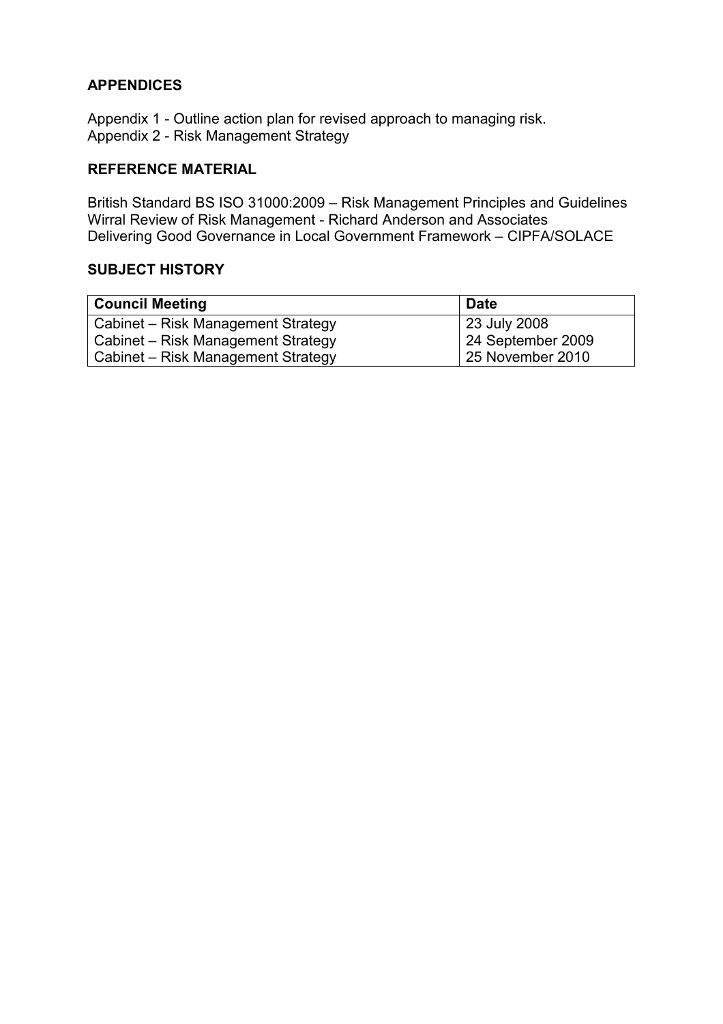# **APPENDICES**

Appendix 1 - Outline action plan for revised approach to managing risk. Appendix 2 - Risk Management Strategy

## **REFERENCE MATERIAL**

British Standard BS ISO 31000:2009 – Risk Management Principles and Guidelines Wirral Review of Risk Management - Richard Anderson and Associates Delivering Good Governance in Local Government Framework – CIPFA/SOLACE

#### **SUBJECT HISTORY**

| <b>Council Meeting</b>             | <b>Date</b>       |
|------------------------------------|-------------------|
| Cabinet – Risk Management Strategy | 23 July 2008      |
| Cabinet – Risk Management Strategy | 24 September 2009 |
| Cabinet – Risk Management Strategy | 25 November 2010  |